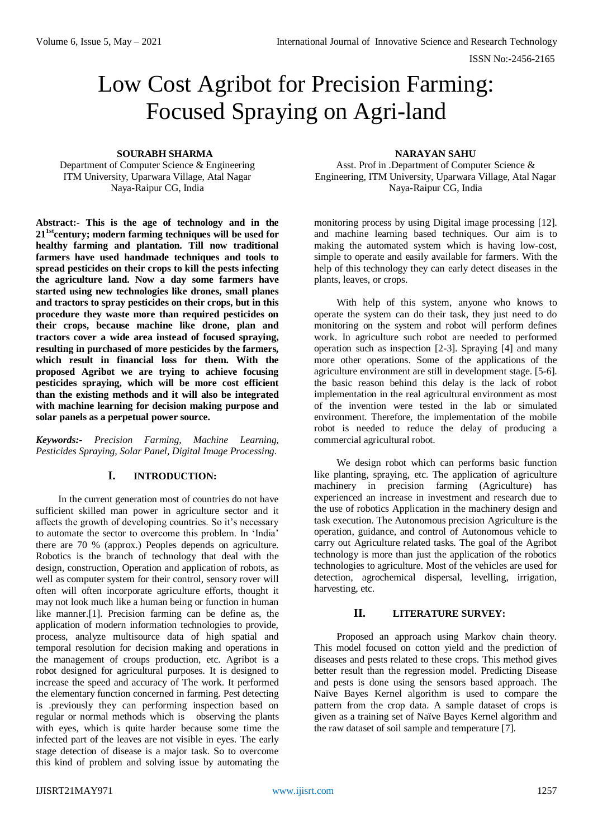# Low Cost Agribot for Precision Farming: Focused Spraying on Agri-land

#### **SOURABH SHARMA**

Department of Computer Science & Engineering ITM University, Uparwara Village, Atal Nagar Naya-Raipur CG, India

**Abstract:- This is the age of technology and in the 211stcentury; modern farming techniques will be used for healthy farming and plantation. Till now traditional farmers have used handmade techniques and tools to spread pesticides on their crops to kill the pests infecting the agriculture land. Now a day some farmers have started using new technologies like drones, small planes and tractors to spray pesticides on their crops, but in this procedure they waste more than required pesticides on their crops, because machine like drone, plan and tractors cover a wide area instead of focused spraying, resulting in purchased of more pesticides by the farmers, which result in financial loss for them. With the proposed Agribot we are trying to achieve focusing pesticides spraying, which will be more cost efficient than the existing methods and it will also be integrated with machine learning for decision making purpose and solar panels as a perpetual power source.**

*Keywords:- Precision Farming, Machine Learning, Pesticides Spraying, Solar Panel, Digital Image Processing.* 

## **I. INTRODUCTION:**

In the current generation most of countries do not have sufficient skilled man power in agriculture sector and it affects the growth of developing countries. So it's necessary to automate the sector to overcome this problem. In 'India' there are 70 % (approx.) Peoples depends on agriculture. Robotics is the branch of technology that deal with the design, construction, Operation and application of robots, as well as computer system for their control, sensory rover will often will often incorporate agriculture efforts, thought it may not look much like a human being or function in human like manner.[1]. Precision farming can be define as, the application of modern information technologies to provide, process, analyze multisource data of high spatial and temporal resolution for decision making and operations in the management of croups production, etc. Agribot is a robot designed for agricultural purposes. It is designed to increase the speed and accuracy of The work. It performed the elementary function concerned in farming. Pest detecting is .previously they can performing inspection based on regular or normal methods which is observing the plants with eyes, which is quite harder because some time the infected part of the leaves are not visible in eyes. The early stage detection of disease is a major task. So to overcome this kind of problem and solving issue by automating the

#### **NARAYAN SAHU**

Asst. Prof in .Department of Computer Science & Engineering, ITM University, Uparwara Village, Atal Nagar Naya-Raipur CG, India

monitoring process by using Digital image processing [12]. and machine learning based techniques. Our aim is to making the automated system which is having low-cost, simple to operate and easily available for farmers. With the help of this technology they can early detect diseases in the plants, leaves, or crops.

With help of this system, anyone who knows to operate the system can do their task, they just need to do monitoring on the system and robot will perform defines work. In agriculture such robot are needed to performed operation such as inspection [2-3]. Spraying [4] and many more other operations. Some of the applications of the agriculture environment are still in development stage. [5-6]. the basic reason behind this delay is the lack of robot implementation in the real agricultural environment as most of the invention were tested in the lab or simulated environment. Therefore, the implementation of the mobile robot is needed to reduce the delay of producing a commercial agricultural robot.

We design robot which can performs basic function like planting, spraying, etc. The application of agriculture machinery in precision farming (Agriculture) has experienced an increase in investment and research due to the use of robotics Application in the machinery design and task execution. The Autonomous precision Agriculture is the operation, guidance, and control of Autonomous vehicle to carry out Agriculture related tasks. The goal of the Agribot technology is more than just the application of the robotics technologies to agriculture. Most of the vehicles are used for detection, agrochemical dispersal, levelling, irrigation, harvesting, etc.

# **II. LITERATURE SURVEY:**

Proposed an approach using Markov chain theory. This model focused on cotton yield and the prediction of diseases and pests related to these crops. This method gives better result than the regression model. Predicting Disease and pests is done using the sensors based approach. The Naïve Bayes Kernel algorithm is used to compare the pattern from the crop data. A sample dataset of crops is given as a training set of Naïve Bayes Kernel algorithm and the raw dataset of soil sample and temperature [7].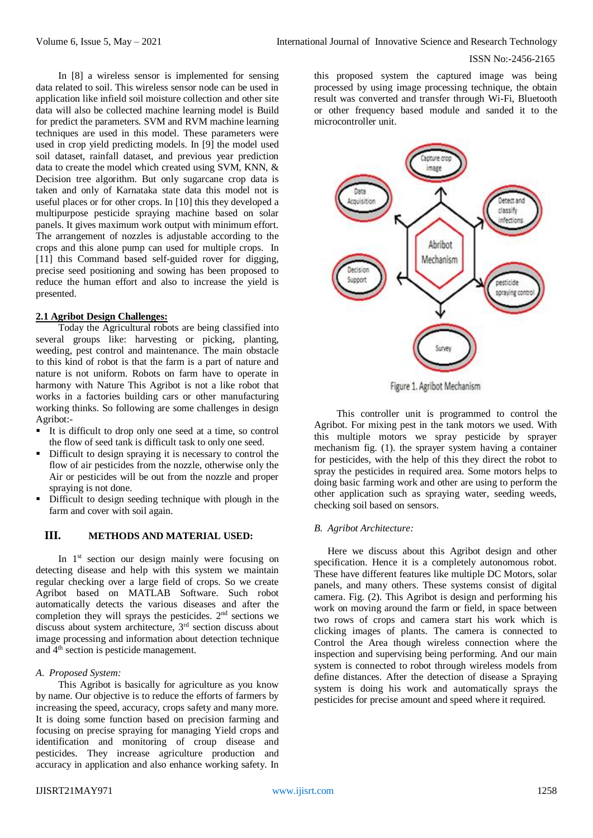this proposed system the captured image was being processed by using image processing technique, the obtain result was converted and transfer through Wi-Fi, Bluetooth or other frequency based module and sanded it to the microcontroller unit.



Figure 1. Agribot Mechanism

This controller unit is programmed to control the Agribot. For mixing pest in the tank motors we used. With this multiple motors we spray pesticide by sprayer mechanism fig. (1). the sprayer system having a container for pesticides, with the help of this they direct the robot to spray the pesticides in required area. Some motors helps to doing basic farming work and other are using to perform the other application such as spraying water, seeding weeds, checking soil based on sensors.

#### *B. Agribot Architecture:*

Here we discuss about this Agribot design and other specification. Hence it is a completely autonomous robot. These have different features like multiple DC Motors, solar panels, and many others. These systems consist of digital camera. Fig. (2). This Agribot is design and performing his work on moving around the farm or field, in space between two rows of crops and camera start his work which is clicking images of plants. The camera is connected to Control the Area though wireless connection where the inspection and supervising being performing. And our main system is connected to robot through wireless models from define distances. After the detection of disease a Spraying system is doing his work and automatically sprays the pesticides for precise amount and speed where it required.

In [8] a wireless sensor is implemented for sensing data related to soil. This wireless sensor node can be used in application like infield soil moisture collection and other site data will also be collected machine learning model is Build for predict the parameters. SVM and RVM machine learning techniques are used in this model. These parameters were used in crop yield predicting models. In [9] the model used soil dataset, rainfall dataset, and previous year prediction data to create the model which created using SVM, KNN, & Decision tree algorithm. But only sugarcane crop data is taken and only of Karnataka state data this model not is useful places or for other crops. In [10] this they developed a multipurpose pesticide spraying machine based on solar panels. It gives maximum work output with minimum effort. The arrangement of nozzles is adjustable according to the crops and this alone pump can used for multiple crops. In [11] this Command based self-guided rover for digging, precise seed positioning and sowing has been proposed to reduce the human effort and also to increase the yield is presented.

## **2.1 Agribot Design Challenges:**

Today the Agricultural robots are being classified into several groups like: harvesting or picking, planting, weeding, pest control and maintenance. The main obstacle to this kind of robot is that the farm is a part of nature and nature is not uniform. Robots on farm have to operate in harmony with Nature This Agribot is not a like robot that works in a factories building cars or other manufacturing working thinks. So following are some challenges in design Agribot:-

- It is difficult to drop only one seed at a time, so control the flow of seed tank is difficult task to only one seed.
- Difficult to design spraying it is necessary to control the flow of air pesticides from the nozzle, otherwise only the Air or pesticides will be out from the nozzle and proper spraying is not done.
- Difficult to design seeding technique with plough in the farm and cover with soil again.

# **III. METHODS AND MATERIAL USED:**

In 1<sup>st</sup> section our design mainly were focusing on detecting disease and help with this system we maintain regular checking over a large field of crops. So we create Agribot based on MATLAB Software. Such robot automatically detects the various diseases and after the completion they will sprays the pesticides.  $2<sup>nd</sup>$  sections we discuss about system architecture, 3rd section discuss about image processing and information about detection technique and 4th section is pesticide management.

## *A. Proposed System:*

This Agribot is basically for agriculture as you know by name. Our objective is to reduce the efforts of farmers by increasing the speed, accuracy, crops safety and many more. It is doing some function based on precision farming and focusing on precise spraying for managing Yield crops and identification and monitoring of croup disease and pesticides. They increase agriculture production and accuracy in application and also enhance working safety. In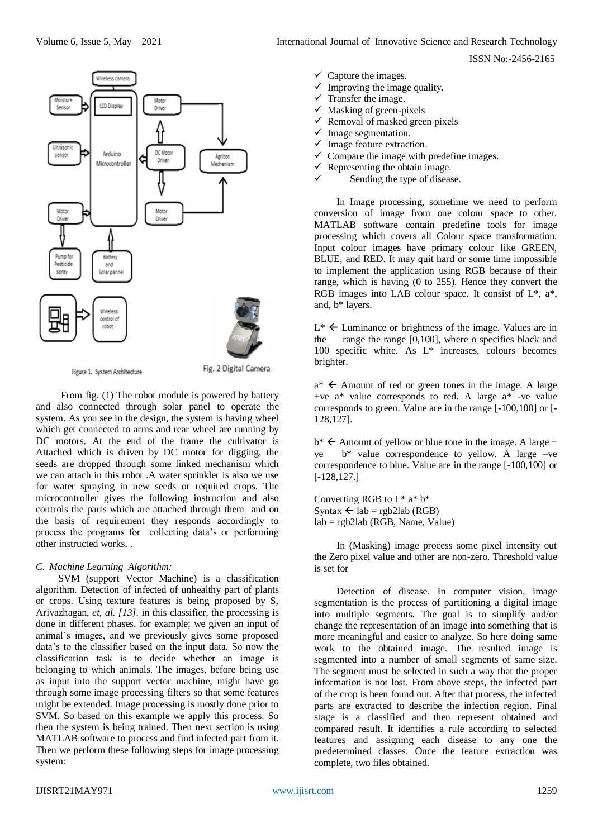

Figure 1. System Architecture

Fig. 2 Digital Camera

From fig. (1) The robot module is powered by battery and also connected through solar panel to operate the system. As you see in the design, the system is having wheel which get connected to arms and rear wheel are running by DC motors. At the end of the frame the cultivator is Attached which is driven by DC motor for digging, the seeds are dropped through some linked mechanism which we can attach in this robot .A water sprinkler is also we use for water spraying in new seeds or required crops. The microcontroller gives the following instruction and also controls the parts which are attached through them and on the basis of requirement they responds accordingly to process the programs for collecting data's or performing other instructed works. .

## *C. Machine Learning Algorithm:*

SVM (support Vector Machine) is a classification algorithm. Detection of infected of unhealthy part of plants or crops. Using texture features is being proposed by S, Arivazhagan, *et, al. [13].* in this classifier*,* the processing is done in different phases. for example; we given an input of animal's images, and we previously gives some proposed data's to the classifier based on the input data. So now the classification task is to decide whether an image is belonging to which animals. The images, before being use as input into the support vector machine, might have go through some image processing filters so that some features might be extended. Image processing is mostly done prior to SVM. So based on this example we apply this process. So then the system is being trained. Then next section is using MATLAB software to process and find infected part from it. Then we perform these following steps for image processing system:

ISSN No:-2456-2165

- $\checkmark$  Capture the images.
- $\checkmark$  Improving the image quality.
- $\checkmark$  Transfer the image.
- $\checkmark$  Masking of green-pixels
- $\checkmark$  Removal of masked green pixels
- $\checkmark$  Image segmentation.
- $\checkmark$  Image feature extraction.
- $\checkmark$  Compare the image with predefine images.
- $\checkmark$  Representing the obtain image.
- Sending the type of disease.

In Image processing, sometime we need to perform conversion of image from one colour space to other. MATLAB software contain predefine tools for image processing which covers all Colour space transformation. Input colour images have primary colour like GREEN, BLUE, and RED. It may quit hard or some time impossible to implement the application using RGB because of their range, which is having (0 to 255). Hence they convert the RGB images into LAB colour space. It consist of  $L^*$ ,  $a^*$ , and, b\* layers.

 $L^* \leftarrow$  Luminance or brightness of the image. Values are in the range the range  $[0,100]$ , where o specifies black and 100 specific white. As L\* increases, colours becomes brighter.

 $a^*$   $\leftarrow$  Amount of red or green tones in the image. A large +ve a\* value corresponds to red. A large a\* -ve value corresponds to green. Value are in the range [-100,100] or [- 128,127].

 $b^* \leftarrow$  Amount of yellow or blue tone in the image. A large + ve b\* value correspondence to yellow. A large –ve correspondence to blue. Value are in the range [-100,100] or [-128,127.]

Converting RGB to L\* a\* b\* Syntax  $\leftarrow$  lab = rgb2lab (RGB) lab = rgb2lab (RGB, Name, Value)

In (Masking) image process some pixel intensity out the Zero pixel value and other are non-zero. Threshold value is set for

Detection of disease. In computer vision, image segmentation is the process of partitioning a digital image into multiple segments. The goal is to simplify and/or change the representation of an image into something that is more meaningful and easier to analyze. So here doing same work to the obtained image. The resulted image is segmented into a number of small segments of same size. The segment must be selected in such a way that the proper information is not lost. From above steps, the infected part of the crop is been found out. After that process, the infected parts are extracted to describe the infection region. Final stage is a classified and then represent obtained and compared result. It identifies a rule according to selected features and assigning each disease to any one the predetermined classes. Once the feature extraction was complete, two files obtained.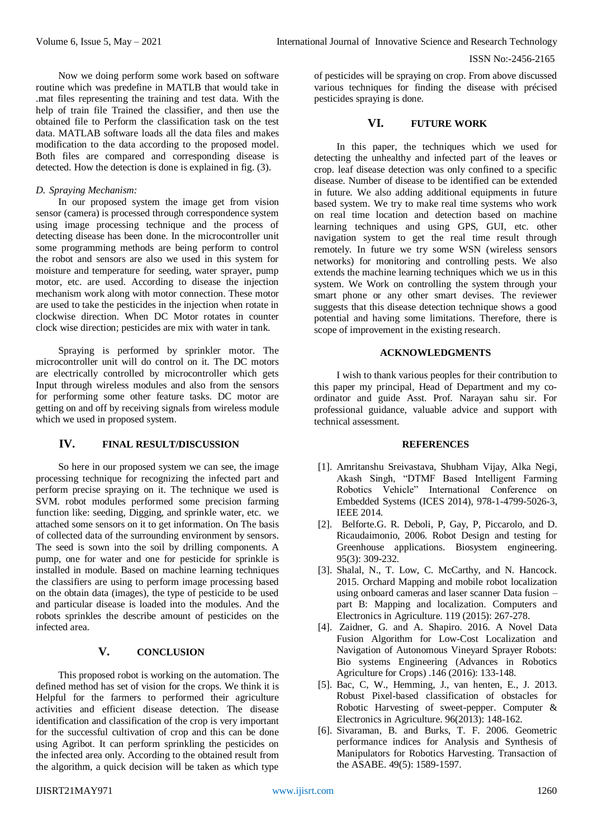Now we doing perform some work based on software routine which was predefine in MATLB that would take in .mat files representing the training and test data. With the help of train file Trained the classifier, and then use the obtained file to Perform the classification task on the test data. MATLAB software loads all the data files and makes modification to the data according to the proposed model. Both files are compared and corresponding disease is detected. How the detection is done is explained in fig. (3).

#### *D. Spraying Mechanism:*

In our proposed system the image get from vision sensor (camera) is processed through correspondence system using image processing technique and the process of detecting disease has been done. In the microcontroller unit some programming methods are being perform to control the robot and sensors are also we used in this system for moisture and temperature for seeding, water sprayer, pump motor, etc. are used. According to disease the injection mechanism work along with motor connection. These motor are used to take the pesticides in the injection when rotate in clockwise direction. When DC Motor rotates in counter clock wise direction; pesticides are mix with water in tank.

Spraying is performed by sprinkler motor. The microcontroller unit will do control on it. The DC motors are electrically controlled by microcontroller which gets Input through wireless modules and also from the sensors for performing some other feature tasks. DC motor are getting on and off by receiving signals from wireless module which we used in proposed system.

## **IV. FINAL RESULT/DISCUSSION**

So here in our proposed system we can see, the image processing technique for recognizing the infected part and perform precise spraying on it. The technique we used is SVM. robot modules performed some precision farming function like: seeding, Digging, and sprinkle water, etc. we attached some sensors on it to get information. On The basis of collected data of the surrounding environment by sensors. The seed is sown into the soil by drilling components. A pump, one for water and one for pesticide for sprinkle is installed in module. Based on machine learning techniques the classifiers are using to perform image processing based on the obtain data (images), the type of pesticide to be used and particular disease is loaded into the modules. And the robots sprinkles the describe amount of pesticides on the infected area.

# **V. CONCLUSION**

This proposed robot is working on the automation. The defined method has set of vision for the crops. We think it is Helpful for the farmers to performed their agriculture activities and efficient disease detection. The disease identification and classification of the crop is very important for the successful cultivation of crop and this can be done using Agribot. It can perform sprinkling the pesticides on the infected area only. According to the obtained result from the algorithm, a quick decision will be taken as which type

of pesticides will be spraying on crop. From above discussed various techniques for finding the disease with précised pesticides spraying is done.

#### **VI. FUTURE WORK**

In this paper, the techniques which we used for detecting the unhealthy and infected part of the leaves or crop. leaf disease detection was only confined to a specific disease. Number of disease to be identified can be extended in future. We also adding additional equipments in future based system. We try to make real time systems who work on real time location and detection based on machine learning techniques and using GPS, GUI, etc. other navigation system to get the real time result through remotely. In future we try some WSN (wireless sensors networks) for monitoring and controlling pests. We also extends the machine learning techniques which we us in this system. We Work on controlling the system through your smart phone or any other smart devises. The reviewer suggests that this disease detection technique shows a good potential and having some limitations. Therefore, there is scope of improvement in the existing research.

#### **ACKNOWLEDGMENTS**

I wish to thank various peoples for their contribution to this paper my principal, Head of Department and my coordinator and guide Asst. Prof. Narayan sahu sir. For professional guidance, valuable advice and support with technical assessment.

#### **REFERENCES**

- [1]. Amritanshu Sreivastava, Shubham Vijay, Alka Negi, Akash Singh, "DTMF Based Intelligent Farming Robotics Vehicle" International Conference on Embedded Systems (ICES 2014), 978-1-4799-5026-3, IEEE 2014.
- [2]. Belforte.G. R. Deboli, P, Gay, P, Piccarolo, and D. Ricaudaimonio, 2006. Robot Design and testing for Greenhouse applications. Biosystem engineering. 95(3): 309-232.
- [3]. Shalal, N., T. Low, C. McCarthy, and N. Hancock. 2015. Orchard Mapping and mobile robot localization using onboard cameras and laser scanner Data fusion – part B: Mapping and localization. Computers and Electronics in Agriculture. 119 (2015): 267-278.
- [4]. Zaidner, G. and A. Shapiro. 2016. A Novel Data Fusion Algorithm for Low-Cost Localization and Navigation of Autonomous Vineyard Sprayer Robots: Bio systems Engineering (Advances in Robotics Agriculture for Crops) .146 (2016): 133-148.
- [5]. Bac, C, W., Hemming, J., van henten, E., J. 2013. Robust Pixel-based classification of obstacles for Robotic Harvesting of sweet-pepper. Computer & Electronics in Agriculture. 96(2013): 148-162.
- [6]. Sivaraman, B. and Burks, T. F. 2006. Geometric performance indices for Analysis and Synthesis of Manipulators for Robotics Harvesting. Transaction of the ASABE. 49(5): 1589-1597.